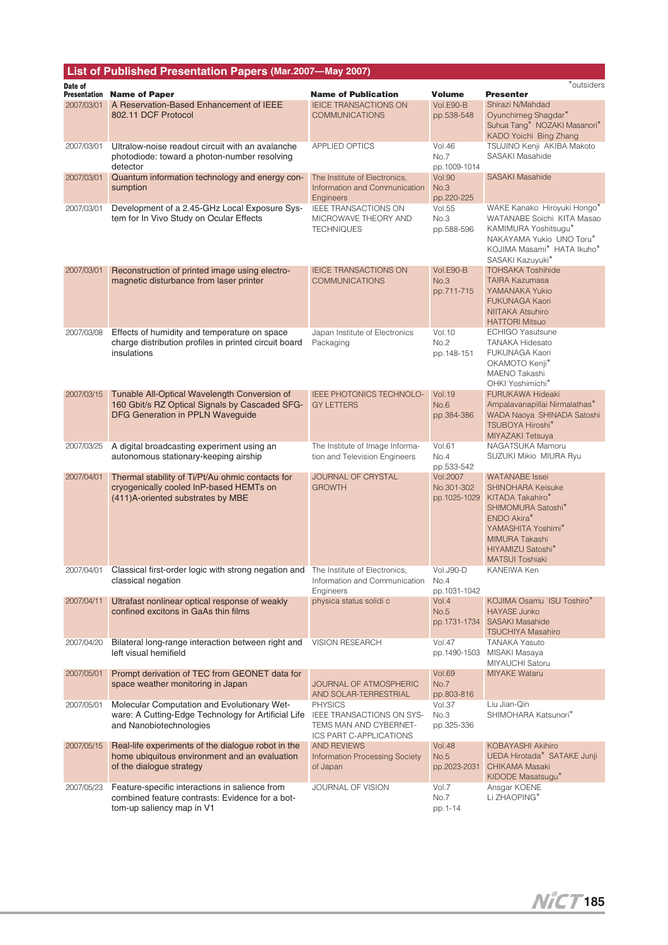| List of Published Presentation Papers (Mar.2007-May 2007) |                                                                                                                                    |                                                                                                  |                                                   |                                                                                                                                                                                                               |  |  |  |
|-----------------------------------------------------------|------------------------------------------------------------------------------------------------------------------------------------|--------------------------------------------------------------------------------------------------|---------------------------------------------------|---------------------------------------------------------------------------------------------------------------------------------------------------------------------------------------------------------------|--|--|--|
| Date of                                                   |                                                                                                                                    |                                                                                                  |                                                   | *outsiders                                                                                                                                                                                                    |  |  |  |
| Presentation<br>2007/03/01                                | <b>Name of Paper</b><br>A Reservation-Based Enhancement of IEEE                                                                    | <b>Name of Publication</b><br><b>IEICE TRANSACTIONS ON</b>                                       | <b>Volume</b><br>Vol.E90-B                        | <b>Presenter</b><br>Shirazi N/Mahdad                                                                                                                                                                          |  |  |  |
|                                                           | 802.11 DCF Protocol                                                                                                                | <b>COMMUNICATIONS</b>                                                                            | pp.538-548                                        | Oyunchimeg Shagdar*<br>Suhua Tang* NOZAKI Masanori*<br>KADO Yoichi Bing Zhang                                                                                                                                 |  |  |  |
| 2007/03/01                                                | Ultralow-noise readout circuit with an avalanche<br>photodiode: toward a photon-number resolving<br>detector                       | <b>APPLIED OPTICS</b>                                                                            | <b>Vol.46</b><br>No.7<br>pp.1009-1014             | TSUJINO Kenji AKIBA Makoto<br>SASAKI Masahide                                                                                                                                                                 |  |  |  |
| 2007/03/01                                                | Quantum information technology and energy con-<br>sumption                                                                         | The Institute of Electronics,<br>Information and Communication                                   | <b>Vol.90</b><br>No.3                             | <b>SASAKI Masahide</b>                                                                                                                                                                                        |  |  |  |
| 2007/03/01                                                | Development of a 2.45-GHz Local Exposure Sys-<br>tem for In Vivo Study on Ocular Effects                                           | Engineers<br>IEEE TRANSACTIONS ON<br>MICROWAVE THEORY AND<br><b>TECHNIQUES</b>                   | pp.220-225<br><b>Vol.55</b><br>No.3<br>pp.588-596 | WAKE Kanako Hiroyuki Hongo*<br>WATANABE Soichi KITA Masao<br>KAMIMURA Yoshitsugu*<br>NAKAYAMA Yukio UNO Toru*<br>KOJIMA Masami* HATA Ikuho*<br>SASAKI Kazuyuki*                                               |  |  |  |
| 2007/03/01                                                | Reconstruction of printed image using electro-<br>magnetic disturbance from laser printer                                          | <b>IEICE TRANSACTIONS ON</b><br><b>COMMUNICATIONS</b>                                            | Vol.E90-B<br>No.3<br>pp.711-715                   | <b>TOHSAKA Toshihide</b><br><b>TAIRA Kazumasa</b><br>YAMANAKA Yukio<br><b>FUKUNAGA Kaori</b><br><b>NIITAKA Atsuhiro</b><br><b>HATTORI Mitsuo</b>                                                              |  |  |  |
| 2007/03/08                                                | Effects of humidity and temperature on space<br>charge distribution profiles in printed circuit board<br>insulations               | Japan Institute of Electronics<br>Packaging                                                      | <b>Vol. 10</b><br>No.2<br>pp.148-151              | <b>ECHIGO Yasutsune</b><br><b>TANAKA Hidesato</b><br>FUKUNAGA Kaori<br>OKAMOTO Kenji*<br>MAENO Takashi<br>OHKI Yoshimichi*                                                                                    |  |  |  |
| 2007/03/15                                                | Tunable All-Optical Wavelength Conversion of<br>160 Gbit/s RZ Optical Signals by Cascaded SFG-<br>DFG Generation in PPLN Waveguide | IEEE PHOTONICS TECHNOLO-<br><b>GY LETTERS</b>                                                    | <b>Vol. 19</b><br>No.6<br>pp.384-386              | <b>FURUKAWA Hideaki</b><br>Ampalavanapillai Nirmalathas*<br>WADA Naoya SHINADA Satoshi<br><b>TSUBOYA Hiroshi*</b><br>MIYAZAKI Tetsuya                                                                         |  |  |  |
| 2007/03/25                                                | A digital broadcasting experiment using an<br>autonomous stationary-keeping airship                                                | The Institute of Image Informa-<br>tion and Television Engineers                                 | Vol.61<br>No.4<br>pp.533-542                      | NAGATSUKA Mamoru<br>SUZUKI Mikio MIURA Ryu                                                                                                                                                                    |  |  |  |
| 2007/04/01                                                | Thermal stability of Ti/Pt/Au ohmic contacts for<br>cryogenically cooled InP-based HEMTs on<br>(411) A-oriented substrates by MBE  | JOURNAL OF CRYSTAL<br><b>GROWTH</b>                                                              | Vol.2007<br>No.301-302<br>pp.1025-1029            | <b>WATANABE Issei</b><br><b>SHINOHARA Keisuke</b><br>KITADA Takahiro*<br>SHIMOMURA Satoshi <sup>*</sup><br>ENDO Akira*<br>YAMASHITA Yoshimi*<br>MIMURA Takashi<br>HIYAMIZU Satoshi*<br><b>MATSUI Toshiaki</b> |  |  |  |
| 2007/04/01                                                | Classical first-order logic with strong negation and<br>classical negation                                                         | The Institute of Electronics,<br>Information and Communication<br>Engineers                      | Vol.J90-D<br>No.4<br>pp.1031-1042                 | KANEIWA Ken                                                                                                                                                                                                   |  |  |  |
| 2007/04/11                                                | Ultrafast nonlinear optical response of weakly<br>confined excitons in GaAs thin films                                             | physica status solidi c                                                                          | Vol.4<br>No.5<br>pp.1731-1734                     | KOJIMA Osamu ISU Toshiro*<br><b>HAYASE Junko</b><br><b>SASAKI Masahide</b><br><b>TSUCHIYA Masahiro</b>                                                                                                        |  |  |  |
| 2007/04/20                                                | Bilateral long-range interaction between right and<br>left visual hemifield                                                        | <b>VISION RESEARCH</b>                                                                           | <b>Vol.47</b>                                     | <b>TANAKA Yasuto</b><br>pp.1490-1503 MISAKI Masaya<br>MIYAUCHI Satoru                                                                                                                                         |  |  |  |
| 2007/05/01                                                | Prompt derivation of TEC from GEONET data for<br>space weather monitoring in Japan                                                 | JOURNAL OF ATMOSPHERIC<br>AND SOLAR-TERRESTRIAL                                                  | <b>Vol.69</b><br>No.7<br>pp.803-816               | <b>MIYAKE Wataru</b>                                                                                                                                                                                          |  |  |  |
| 2007/05/01                                                | Molecular Computation and Evolutionary Wet-<br>ware: A Cutting-Edge Technology for Artificial Life<br>and Nanobiotechnologies      | <b>PHYSICS</b><br>IEEE TRANSACTIONS ON SYS-<br>TEMS MAN AND CYBERNET-<br>ICS PART C-APPLICATIONS | Vol.37<br>No.3<br>pp.325-336                      | Liu Jian-Qin<br>SHIMOHARA Katsunori*                                                                                                                                                                          |  |  |  |
| 2007/05/15                                                | Real-life experiments of the dialogue robot in the<br>home ubiquitous environment and an evaluation<br>of the dialogue strategy    | <b>AND REVIEWS</b><br><b>Information Processing Society</b><br>of Japan                          | <b>Vol.48</b><br>No.5<br>pp.2023-2031             | KOBAYASHI Akihiro<br>UEDA Hirotada* SATAKE Junji<br><b>CHIKAMA Masaki</b><br>KIDODE Masatsugu*                                                                                                                |  |  |  |
| 2007/05/23                                                | Feature-specific interactions in salience from<br>combined feature contrasts: Evidence for a bot-<br>tom-up saliency map in V1     | JOURNAL OF VISION                                                                                | Vol.7<br>No.7<br>pp.1-14                          | Ansgar KOENE<br>Li ZHAOPING <sup>*</sup>                                                                                                                                                                      |  |  |  |